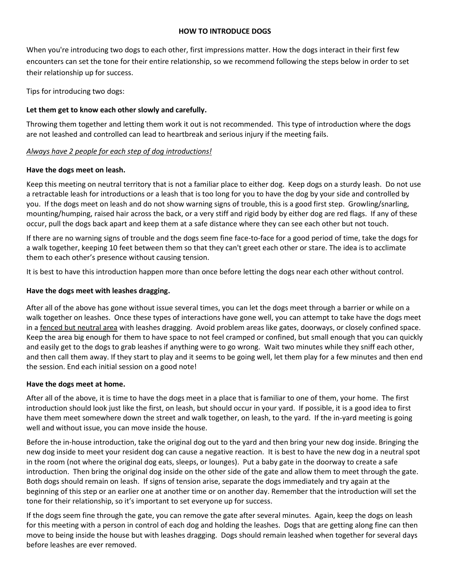#### **HOW TO INTRODUCE DOGS**

When you're introducing two dogs to each other, first impressions matter. How the dogs interact in their first few encounters can set the tone for their entire relationship, so we recommend following the steps below in order to set their relationship up for success.

Tips for introducing two dogs:

# **Let them get to know each other slowly and carefully.**

Throwing them together and letting them work it out is not recommended. This type of introduction where the dogs are not leashed and controlled can lead to heartbreak and serious injury if the meeting fails.

# *Always have 2 people for each step of dog introductions!*

## **Have the dogs meet on leash.**

Keep this meeting on neutral territory that is not a familiar place to either dog. Keep dogs on a sturdy leash. Do not use a retractable leash for introductions or a leash that is too long for you to have the dog by your side and controlled by you. If the dogs meet on leash and do not show warning signs of trouble, this is a good first step. Growling/snarling, mounting/humping, raised hair across the back, or a very stiff and rigid body by either dog are red flags. If any of these occur, pull the dogs back apart and keep them at a safe distance where they can see each other but not touch.

If there are no warning signs of trouble and the dogs seem fine face-to-face for a good period of time, take the dogs for a walk together, keeping 10 feet between them so that they can't greet each other or stare. The idea is to acclimate them to each other's presence without causing tension.

It is best to have this introduction happen more than once before letting the dogs near each other without control.

# **Have the dogs meet with leashes dragging.**

After all of the above has gone without issue several times, you can let the dogs meet through a barrier or while on a walk together on leashes. Once these types of interactions have gone well, you can attempt to take have the dogs meet in a fenced but neutral area with leashes dragging. Avoid problem areas like gates, doorways, or closely confined space. Keep the area big enough for them to have space to not feel cramped or confined, but small enough that you can quickly and easily get to the dogs to grab leashes if anything were to go wrong. Wait two minutes while they sniff each other, and then call them away. If they start to play and it seems to be going well, let them play for a few minutes and then end the session. End each initial session on a good note!

## **Have the dogs meet at home.**

After all of the above, it is time to have the dogs meet in a place that is familiar to one of them, your home. The first introduction should look just like the first, on leash, but should occur in your yard. If possible, it is a good idea to first have them meet somewhere down the street and walk together, on leash, to the yard. If the in-yard meeting is going well and without issue, you can move inside the house.

Before the in-house introduction, take the original dog out to the yard and then bring your new dog inside. Bringing the new dog inside to meet your resident dog can cause a negative reaction. It is best to have the new dog in a neutral spot in the room (not where the original dog eats, sleeps, or lounges). Put a baby gate in the doorway to create a safe introduction. Then bring the original dog inside on the other side of the gate and allow them to meet through the gate. Both dogs should remain on leash. If signs of tension arise, separate the dogs immediately and try again at the beginning of this step or an earlier one at another time or on another day. Remember that the introduction will set the tone for their relationship, so it's important to set everyone up for success.

If the dogs seem fine through the gate, you can remove the gate after several minutes. Again, keep the dogs on leash for this meeting with a person in control of each dog and holding the leashes. Dogs that are getting along fine can then move to being inside the house but with leashes dragging. Dogs should remain leashed when together for several days before leashes are ever removed.